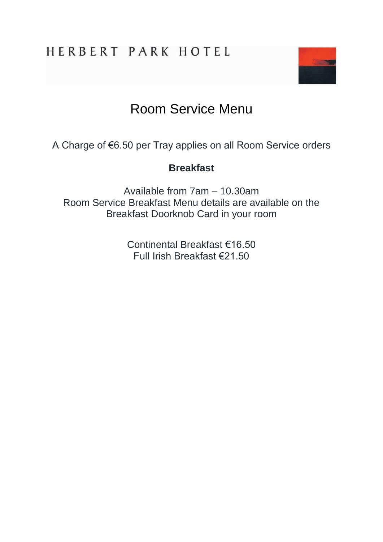

# Room Service Menu

A Charge of €6.50 per Tray applies on all Room Service orders

# **Breakfast**

Available from 7am – 10.30am Room Service Breakfast Menu details are available on the Breakfast Doorknob Card in your room

> Continental Breakfast €16.50 Full Irish Breakfast €21.50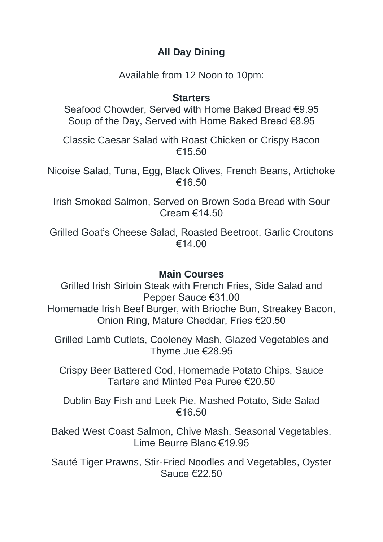# **All Day Dining**

Available from 12 Noon to 10pm:

# **Starters**

Seafood Chowder, Served with Home Baked Bread €9.95 Soup of the Day, Served with Home Baked Bread €8.95

Classic Caesar Salad with Roast Chicken or Crispy Bacon  $€15.50$ 

Nicoise Salad, Tuna, Egg, Black Olives, French Beans, Artichoke €16.50

Irish Smoked Salmon, Served on Brown Soda Bread with Sour Cream €14.50

Grilled Goat's Cheese Salad, Roasted Beetroot, Garlic Croutons €14.00

# **Main Courses**

Grilled Irish Sirloin Steak with French Fries, Side Salad and Pepper Sauce €31.00 Homemade Irish Beef Burger, with Brioche Bun, Streakey Bacon, Onion Ring, Mature Cheddar, Fries €20.50

Grilled Lamb Cutlets, Cooleney Mash, Glazed Vegetables and Thyme Jue €28.95

Crispy Beer Battered Cod, Homemade Potato Chips, Sauce Tartare and Minted Pea Puree €20.50

Dublin Bay Fish and Leek Pie, Mashed Potato, Side Salad €16.50

Baked West Coast Salmon, Chive Mash, Seasonal Vegetables, Lime Beurre Blanc €19.95

Sauté Tiger Prawns, Stir-Fried Noodles and Vegetables, Oyster Sauce €22.50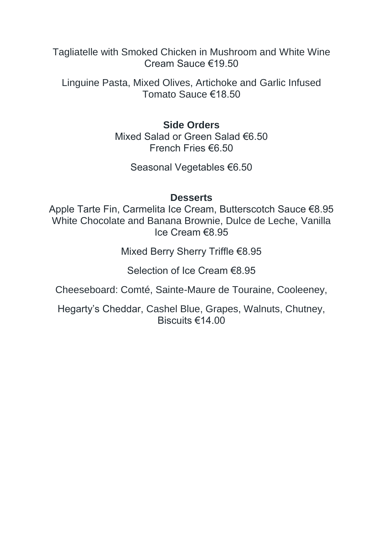Tagliatelle with Smoked Chicken in Mushroom and White Wine Cream Sauce €19.50

Linguine Pasta, Mixed Olives, Artichoke and Garlic Infused Tomato Sauce €18.50

### **Side Orders**

Mixed Salad or Green Salad €6.50 French Fries €6.50

Seasonal Vegetables €6.50

### **Desserts**

Apple Tarte Fin, Carmelita Ice Cream, Butterscotch Sauce €8.95 White Chocolate and Banana Brownie, Dulce de Leche, Vanilla Ice Cream €8.95

Mixed Berry Sherry Triffle €8.95

Selection of Ice Cream €8.95

Cheeseboard: Comté, Sainte-Maure de Touraine, Cooleeney,

Hegarty's Cheddar, Cashel Blue, Grapes, Walnuts, Chutney, Biscuits €14.00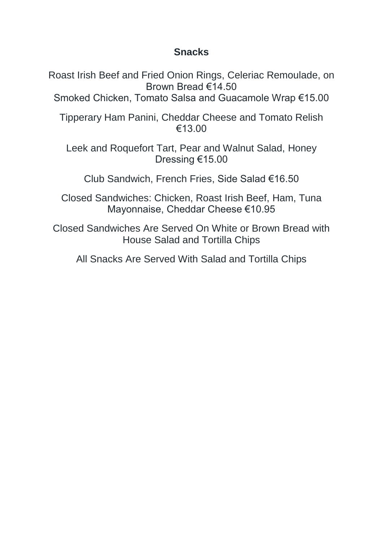# **Snacks**

Roast Irish Beef and Fried Onion Rings, Celeriac Remoulade, on Brown Bread €14.50

Smoked Chicken, Tomato Salsa and Guacamole Wrap €15.00

Tipperary Ham Panini, Cheddar Cheese and Tomato Relish €13.00

Leek and Roquefort Tart, Pear and Walnut Salad, Honey Dressing €15.00

Club Sandwich, French Fries, Side Salad €16.50

Closed Sandwiches: Chicken, Roast Irish Beef, Ham, Tuna Mayonnaise, Cheddar Cheese €10.95

Closed Sandwiches Are Served On White or Brown Bread with House Salad and Tortilla Chips

All Snacks Are Served With Salad and Tortilla Chips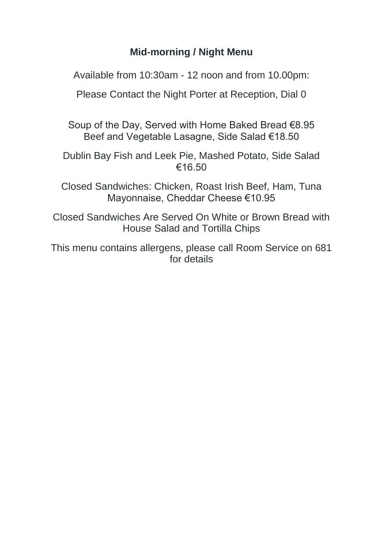# **Mid-morning / Night Menu**

Available from 10:30am - 12 noon and from 10.00pm:

Please Contact the Night Porter at Reception, Dial 0

Soup of the Day, Served with Home Baked Bread €8.95 Beef and Vegetable Lasagne, Side Salad €18.50

Dublin Bay Fish and Leek Pie, Mashed Potato, Side Salad €16.50

Closed Sandwiches: Chicken, Roast Irish Beef, Ham, Tuna Mayonnaise, Cheddar Cheese €10.95

Closed Sandwiches Are Served On White or Brown Bread with House Salad and Tortilla Chips

This menu contains allergens, please call Room Service on 681 for details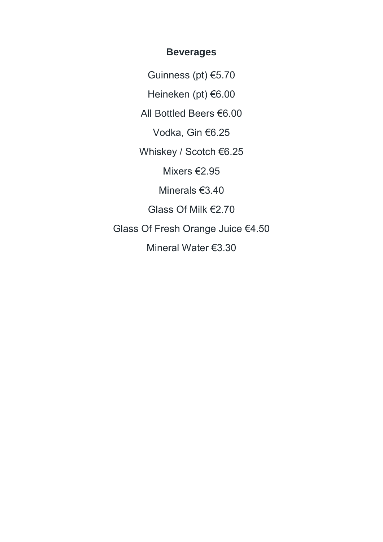#### **Beverages**

Guinness (pt) €5.70 Heineken (pt) €6.00 All Bottled Beers €6.00 Vodka, Gin €6.25 Whiskey / Scotch €6.25 Mixers €2.95 Minerals €3.40 Glass Of Milk €2.70 Glass Of Fresh Orange Juice €4.50 Mineral Water €3.30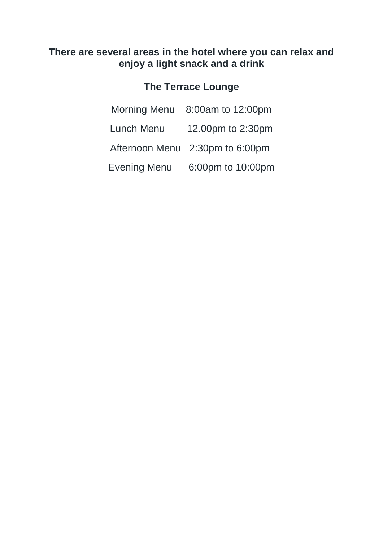# **There are several areas in the hotel where you can relax and enjoy a light snack and a drink**

# **The Terrace Lounge**

|              | Morning Menu 8:00am to 12:00pm  |
|--------------|---------------------------------|
| Lunch Menu   | 12.00pm to 2:30pm               |
|              | Afternoon Menu 2:30pm to 6:00pm |
| Evening Menu | 6:00pm to 10:00pm               |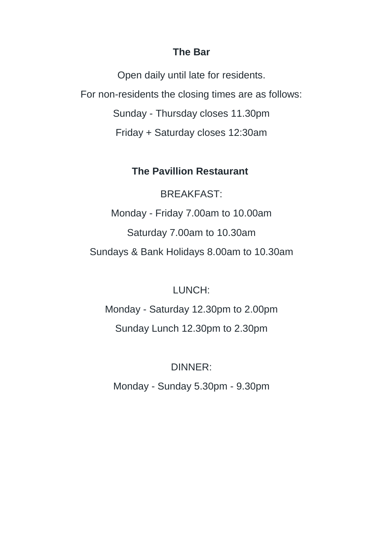### **The Bar**

Open daily until late for residents. For non-residents the closing times are as follows: Sunday - Thursday closes 11.30pm Friday + Saturday closes 12:30am

# **The Pavillion Restaurant**

BREAKFAST: Monday - Friday 7.00am to 10.00am Saturday 7.00am to 10.30am Sundays & Bank Holidays 8.00am to 10.30am

# LUNCH:

Monday - Saturday 12.30pm to 2.00pm Sunday Lunch 12.30pm to 2.30pm

# DINNER:

Monday - Sunday 5.30pm - 9.30pm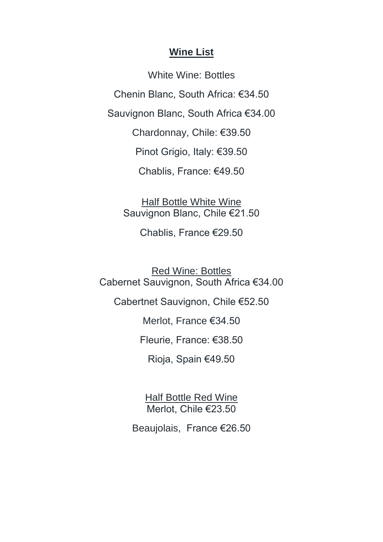### **Wine List**

White Wine: Bottles Chenin Blanc, South Africa: €34.50 Sauvignon Blanc, South Africa €34.00 Chardonnay, Chile: €39.50 Pinot Grigio, Italy: €39.50 Chablis, France: €49.50

Half Bottle White Wine Sauvignon Blanc, Chile €21.50

Chablis, France €29.50

Red Wine: Bottles Cabernet Sauvignon, South Africa €34.00

Cabertnet Sauvignon, Chile €52.50

Merlot, France €34.50

Fleurie, France: €38.50

Rioja, Spain €49.50

Half Bottle Red Wine Merlot, Chile €23.50

Beaujolais, France €26.50